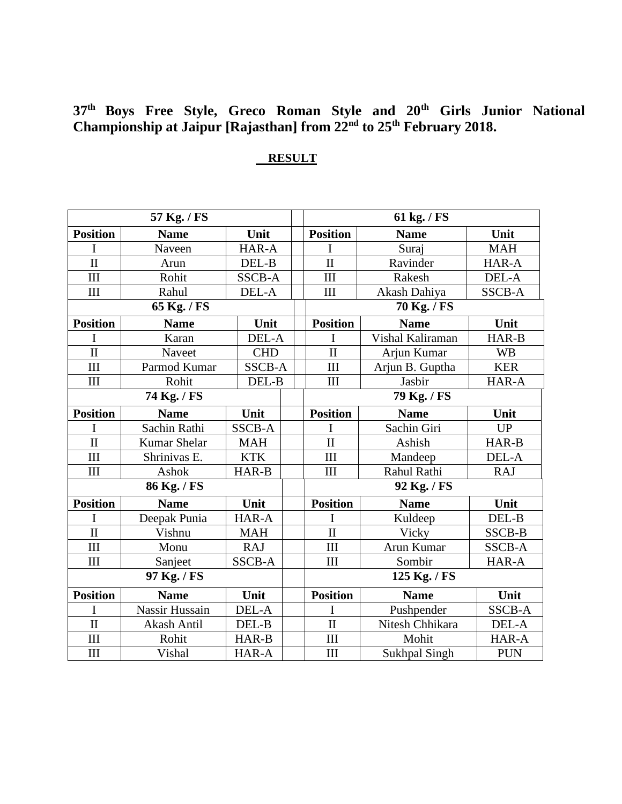#### **37 th Boys Free Style, Greco Roman Style and 20th Girls Junior National Championship at Jaipur [Rajasthan] from 22nd to 25th February 2018.**

# **RESULT**

| 57 Kg. / FS         |                     |               |       | 61 kg. / FS         |                      |               |  |
|---------------------|---------------------|---------------|-------|---------------------|----------------------|---------------|--|
| <b>Position</b>     | <b>Name</b>         | Unit          |       | <b>Position</b>     | <b>Name</b>          | Unit          |  |
| I                   | Naveen              | HAR-A         |       | I                   | Suraj                | <b>MAH</b>    |  |
| $\overline{\rm II}$ | Arun                | DEL-B         |       | $\overline{\rm II}$ | Ravinder             | HAR-A         |  |
| III                 | Rohit               | <b>SSCB-A</b> |       | III                 | Rakesh               | DEL-A         |  |
| III                 | Rahul               | DEL-A         |       | III                 | Akash Dahiya         | SSCB-A        |  |
| 65 Kg. / FS         |                     |               |       | 70 Kg. / FS         |                      |               |  |
| <b>Position</b>     | <b>Name</b>         | Unit          |       | <b>Position</b>     | <b>Name</b>          | Unit          |  |
| I                   | Karan               |               | DEL-A |                     | Vishal Kaliraman     | HAR-B         |  |
| $\overline{\rm II}$ | Naveet              | <b>CHD</b>    |       |                     | Arjun Kumar          | <b>WB</b>     |  |
| III                 | Parmod Kumar        | <b>SSCB-A</b> |       | III                 | Arjun B. Guptha      | <b>KER</b>    |  |
| III                 | Rohit               | DEL-B         |       | III                 | Jasbir               | HAR-A         |  |
| 74 Kg. / FS         |                     |               |       | 79 Kg. / FS         |                      |               |  |
| <b>Position</b>     | <b>Name</b>         | Unit          |       | <b>Position</b>     | <b>Name</b>          | Unit          |  |
| I                   | Sachin Rathi        | <b>SSCB-A</b> |       | I                   | Sachin Giri          | <b>UP</b>     |  |
| $\overline{\rm II}$ | <b>Kumar Shelar</b> | <b>MAH</b>    |       | $\overline{\rm II}$ | Ashish               | HAR-B         |  |
| III                 | Shrinivas E.        | <b>KTK</b>    |       | III                 | Mandeep              | DEL-A         |  |
| III                 | Ashok               | HAR-B         |       | III                 | Rahul Rathi          | <b>RAJ</b>    |  |
| 86 Kg. / FS         |                     |               |       | 92 Kg. / FS         |                      |               |  |
| <b>Position</b>     | <b>Name</b>         | Unit          |       | <b>Position</b>     | <b>Name</b>          | Unit          |  |
| I                   | Deepak Punia        | HAR-A         |       | T                   | Kuldeep              | DEL-B         |  |
| $\overline{\rm II}$ | Vishnu              | <b>MAH</b>    |       | $\overline{\rm II}$ | Vicky                | <b>SSCB-B</b> |  |
| III                 | Monu                | <b>RAJ</b>    |       | III                 | Arun Kumar           | <b>SSCB-A</b> |  |
| III                 | Sanjeet             | <b>SSCB-A</b> |       | III                 | Sombir               | HAR-A         |  |
| 97 Kg. / FS         |                     |               |       | 125 Kg. / FS        |                      |               |  |
| <b>Position</b>     | <b>Name</b>         | Unit          |       | <b>Position</b>     | <b>Name</b>          | Unit          |  |
| I                   | Nassir Hussain      | DEL-A         |       | I                   | Pushpender           | <b>SSCB-A</b> |  |
| $\overline{\rm II}$ | <b>Akash Antil</b>  | DEL-B         |       | $\overline{\rm II}$ | Nitesh Chhikara      | DEL-A         |  |
| III                 | Rohit               | HAR-B         |       | III                 | Mohit                | HAR-A         |  |
| III                 | Vishal              | HAR-A         |       | III                 | <b>Sukhpal Singh</b> | <b>PUN</b>    |  |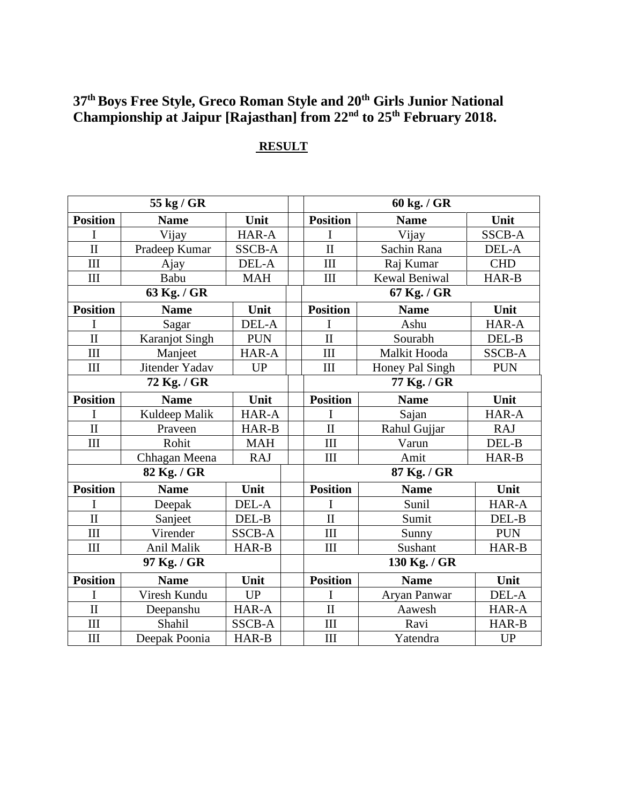#### **37th Boys Free Style, Greco Roman Style and 20th Girls Junior National Championship at Jaipur [Rajasthan] from 22nd to 25th February 2018.**

# **RESULT**

| 55 kg / GR                  |                       |               |  | 60 kg. / GR             |                 |               |  |
|-----------------------------|-----------------------|---------------|--|-------------------------|-----------------|---------------|--|
| <b>Position</b>             | <b>Name</b>           | Unit          |  | <b>Position</b>         | <b>Name</b>     | Unit          |  |
| I                           | Vijay                 | HAR-A         |  | I                       | Vijay           | <b>SSCB-A</b> |  |
| $\overline{\rm II}$         | Pradeep Kumar         | <b>SSCB-A</b> |  | $\overline{\mathbf{I}}$ | Sachin Rana     | DEL-A         |  |
| III                         | Ajay                  | DEL-A         |  | III                     | Raj Kumar       | <b>CHD</b>    |  |
| III                         | Babu                  | <b>MAH</b>    |  | III                     | Kewal Beniwal   | HAR-B         |  |
| 63 Kg. / GR                 |                       |               |  | 67 Kg. / GR             |                 |               |  |
| <b>Position</b>             | <b>Name</b>           | Unit          |  | <b>Position</b>         | <b>Name</b>     | Unit          |  |
| I                           | Sagar                 | DEL-A         |  | I                       | Ashu            | HAR-A         |  |
| $\overline{\rm II}$         | <b>Karanjot Singh</b> | <b>PUN</b>    |  | $\overline{\rm II}$     | Sourabh         | DEL-B         |  |
| III                         | Manjeet               | HAR-A         |  | III                     | Malkit Hooda    | <b>SSCB-A</b> |  |
| III                         | Jitender Yadav        | <b>UP</b>     |  | III                     | Honey Pal Singh | <b>PUN</b>    |  |
| 72 Kg. / GR                 |                       |               |  | 77 Kg. / GR             |                 |               |  |
| <b>Position</b>             | <b>Name</b>           | Unit          |  | <b>Position</b>         | <b>Name</b>     | Unit          |  |
| I                           | Kuldeep Malik         | HAR-A         |  | I                       | Sajan           | HAR-A         |  |
| $\overline{\rm II}$         | Praveen               | HAR-B         |  | $\overline{\rm II}$     | Rahul Gujjar    | <b>RAJ</b>    |  |
| III                         | Rohit                 | <b>MAH</b>    |  | III                     | Varun           | DEL-B         |  |
|                             | Chhagan Meena         | <b>RAJ</b>    |  | III                     | Amit            | HAR-B         |  |
| 82 Kg. / GR                 |                       |               |  | 87 Kg. / GR             |                 |               |  |
| <b>Position</b>             | <b>Name</b>           | Unit          |  | <b>Position</b>         | <b>Name</b>     | Unit          |  |
| I                           | Deepak                | DEL-A         |  | I                       | Sunil           | HAR-A         |  |
| $\overline{\mathbf{H}}$     | Sanjeet               | DEL-B         |  | $\overline{\mathbf{u}}$ | Sumit           | DEL-B         |  |
| III                         | Virender              | <b>SSCB-A</b> |  | III                     | Sunny           | <b>PUN</b>    |  |
| $\mathop{\rm III}\nolimits$ | Anil Malik            | HAR-B         |  | III                     | Sushant         | HAR-B         |  |
| 97 Kg. / GR                 |                       |               |  | 130 Kg. / GR            |                 |               |  |
| <b>Position</b>             | <b>Name</b>           | Unit          |  | <b>Position</b>         | <b>Name</b>     | Unit          |  |
| I                           | Viresh Kundu          | <b>UP</b>     |  | I                       | Aryan Panwar    | DEL-A         |  |
| $\overline{\rm II}$         | Deepanshu             | HAR-A         |  | $\overline{\rm II}$     | Aawesh          | HAR-A         |  |
| III                         | Shahil                | <b>SSCB-A</b> |  | III                     | Ravi            | HAR-B         |  |
| III                         | Deepak Poonia         | HAR-B         |  | III                     | Yatendra        | <b>UP</b>     |  |